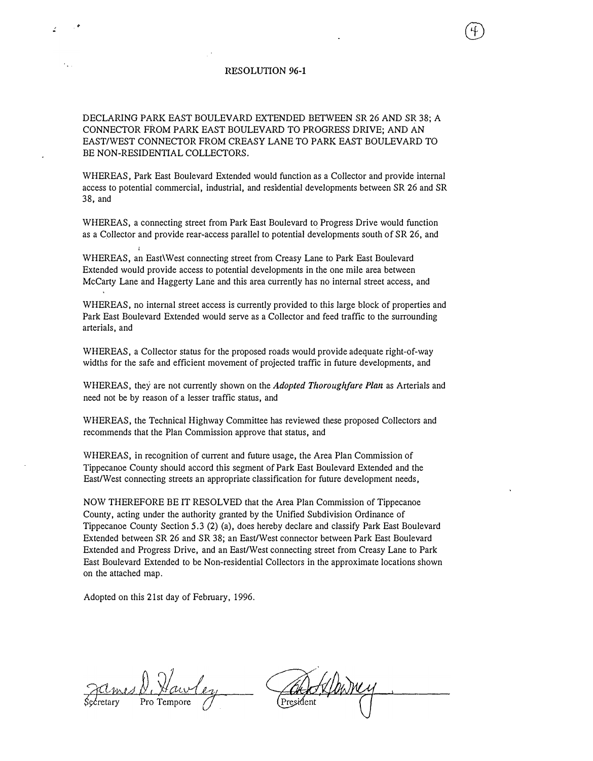## RESOLUTION 96-1

DECLARING PARK EAST BOULEVARD EXTENDED BETWEEN SR 26 AND SR 38; A CONNECTOR FROM PARK EAST BOULEY ARD TO PROGRESS DRIVE; AND AN EAST/WEST CONNECTOR FROM CREASY LANE TO PARK EAST BOULEVARD TO BE NON-RESIDENTIAL COLLECTORS.

WHEREAS, Park East Boulevard Extended would function as a Collector and provide internal access to potential commercial, industrial, and residential developments between SR 26 and SR 38, and

WHEREAS, a connecting street from Park East Boulevard to Progress Drive would function as a Collector and provide rear-access parallel to potential developments south of SR 26, and

WHEREAS, an East\ West connecting street from Creasy Lane to Park East Boulevard Extended would provide access to potential developments in the one mile area between McCarty Lane and Haggerty Lane and this area currently has no internal street access, and

WHEREAS, no internal street access is currently provided to this large block of properties and Park East Boulevard Extended would serve as a Collector and feed traffic to the surrounding arterials, and

WHEREAS, a Collector status for the proposed roads would provide adequate right-of-way widths for the safe and efficient movement of projected traffic in future developments, and

WHEREAS, they are not currently shown on the Adopted Thoroughfare Plan as Arterials and need not be by reason of a lesser traffic status, and

WHEREAS, the Technical Highway Committee has reviewed these proposed Collectors and recommends that the Plan Commission approve that status, and

WHEREAS, in recognition of current and future usage, the Area Plan Commission of Tippecanoe County should accord this segment of Park East Boulevard Extended and the East/West connecting streets an appropriate classification for future development needs,

NOW THEREFORE BE IT RESOLVED that the Area Plan Commission of Tippecanoe County, acting under the authority granted by the Unified Subdivision Ordinance of Tippecanoe County Section 5.3 (2) (a), does hereby declare and classify Park East Boulevard Extended between SR 26 and SR 38; an East/West connector between Park East Boulevard Extended and Progress Drive, and an East/West connecting street from Creasy Lane to Park East Boulevard Extended to be Non-residential Collectors in the approximate locations shown on the attached map.

Adopted on this 21st day of February, 1996.

mes D. Haw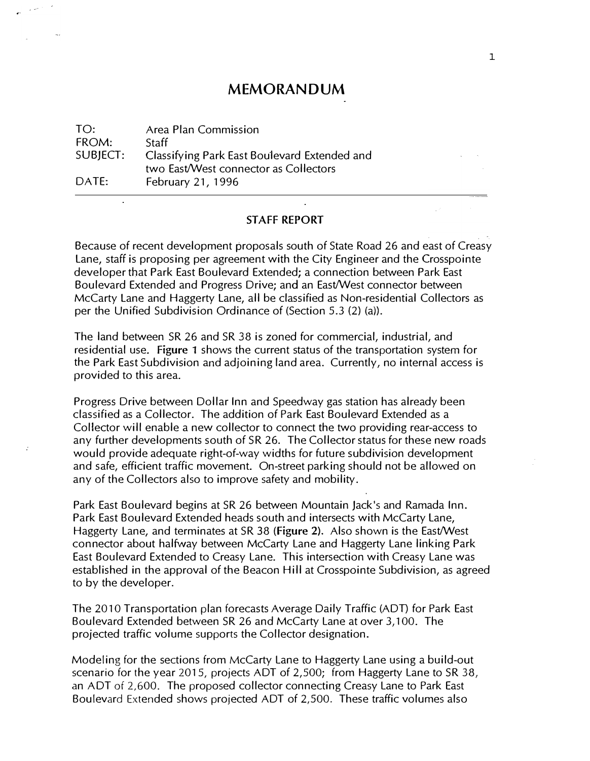## MEMORANDUM

TO: FROM: SUBJECT:  $DATE:$ Area Plan Commission **Staff** Classifying Park East Boulevard Extended and two East/West connector as Collectors February 21, 1996

## STAFF REPORT

Because of recent development proposals south of State Road 26 and east of Creasy lane, staff is proposing per agreement with the City Engineer and the Crosspointe developer that Park East Boulevard Extended; a connection between Park East Boulevard Extended and Progress Drive; and an East/West connector between McCarty lane and Haggerty lane, all be classified as Non-residential Collectors as per the Unified Subdivision Ordinance of (Section 5.3 {2) (a)).

The land between SR 26 and SR 38 is zoned for commercial, industrial, and residential use. Figure 1 shows the current status of the transportation system for the Park East Subdivision and adjoining land area. Currently, no internal access is provided to this area.

Progress Drive between Dollar Inn and Speedway gas station has already been classified as a Collector. The addition of Park East Boulevard Extended as a Collector will enable a new collector to connect the two providing rear-access to any further developments south of SR 26. The Collector status for these new roads would provide adequate right-of-way widths for future subdivision development and safe, efficient traffic movement. On-street parking should not be allowed on any of the Collectors also to improve safety and mobility.

Park East Boulevard begins at SR 26 between Mountain Jack's and Ramada Inn. Park East Boulevard Extended heads south and intersects with McCarty lane, Haggerty Lane, and terminates at SR 38 (figure 2). Also shown is the East/West connector about halfway between McCarty Lane and Haggerty Lane linking Park East Boulevard Extended to Creasy Lane. This intersection with Creasy Lane was established in the approval of the Beacon Hill at Crosspointe Subdivision, as agreed to by the developer.

The 2010 Transportation plan forecasts Average Daily Traffic (ADD for Park East Boulevard Extended between SR 26 and McCarty Lane at over 3,100. The projected traffic volume supports the Collector designation.

Modeling for the sections from McCarty Lane to Haggerty Lane using a build-out scenario for the year 2015, projects ADT of 2,500; from Haggerty Lane to SR 38, an ADT of 2,600. The proposed collector connecting Creasy Lane to Park East Boulevard Extended shows projected ADT of 2,500. These traffic volumes also

 $\sim$   $\omega$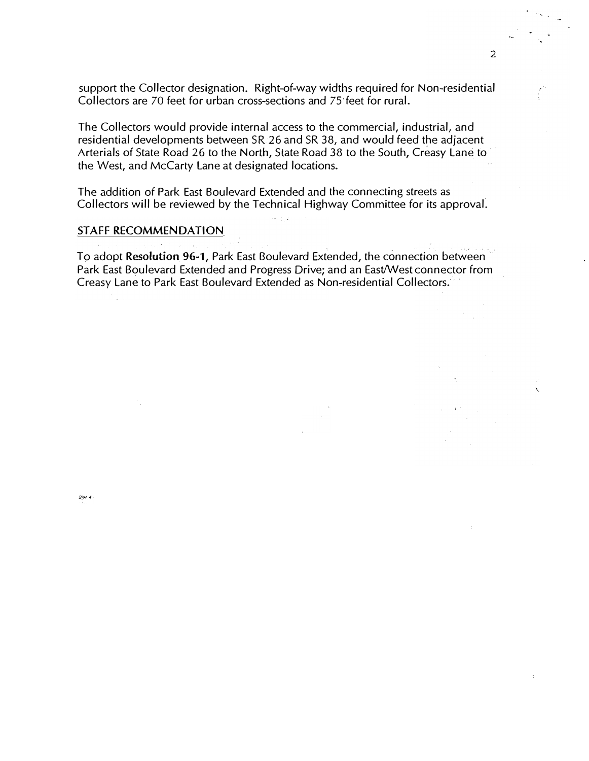support the Collector designation. Right-of-way widths required for Non-residential Collectors are 70 feet for urban cross-sections and 7S·feet for rural.

The Collectors would provide internal access to the commercial, industrial, and residential developments between SR26 and SR 38, and would feed the adjacent Arterials of State Road 26 to the North, State Road 38 to the South, Creasy Lane to the West, and McCarty Lane at designated locations.

The addition of Park East Boulevard Extended and the connecting streets as Collectors will be reviewed by the Technical Highway Committee for its approval.

 $\overline{\mathcal{O}}(\frac{1}{2},\frac{1}{2})$ 

## STAFF RECOMMENDATION

To adopt Resolution 96-1, Park East Boulevard Extended, the connection between Park East Boulevard Extended and Progress Drive; and an East/West connector from Creasy Lane to Park East Boulevard Extended as Non-residential Collectors.

·.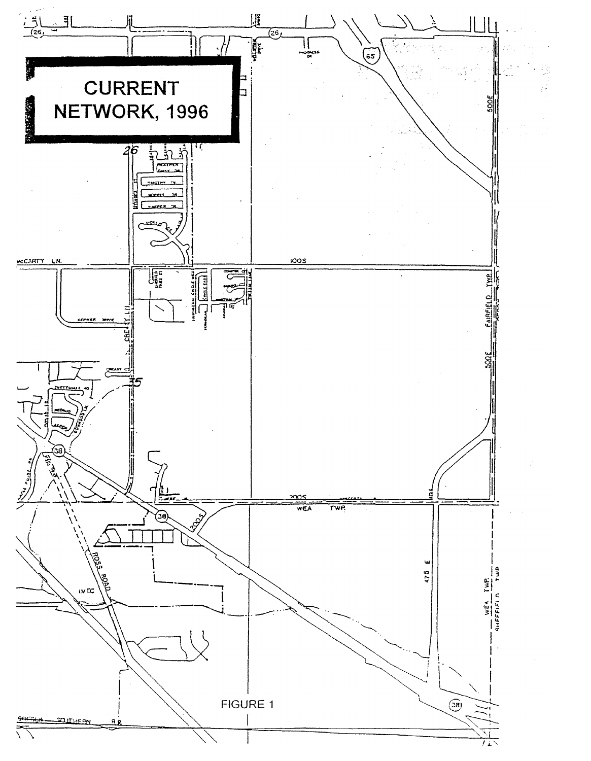